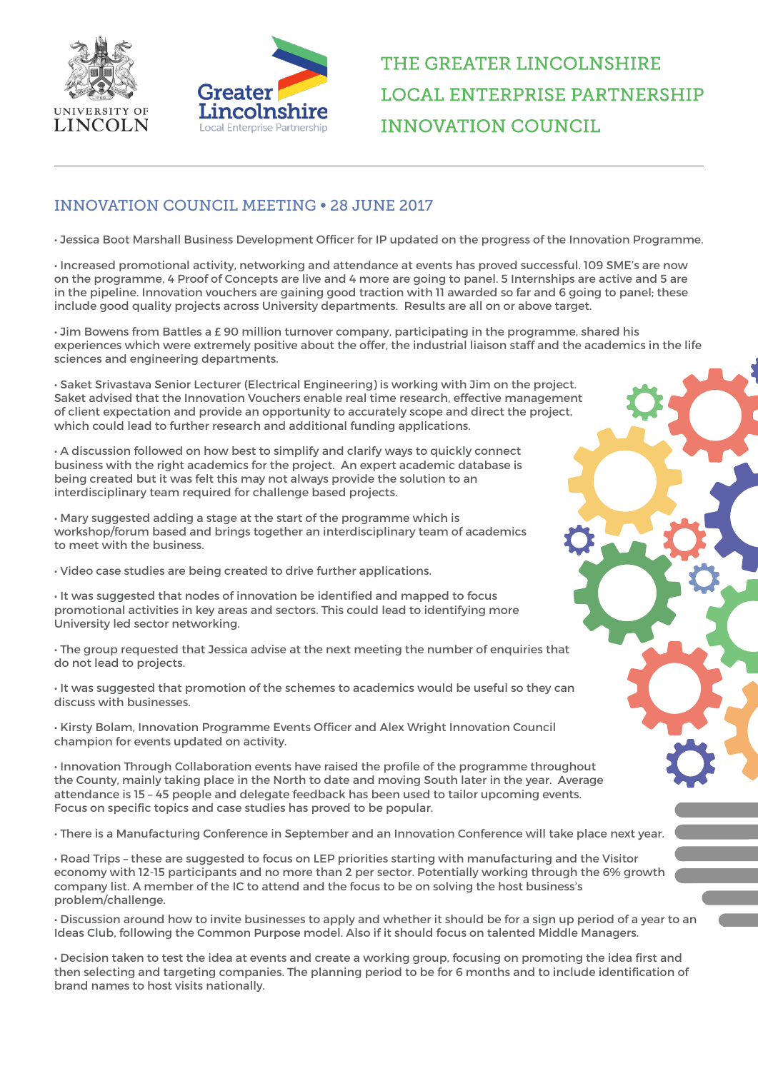



## THE GREATER LINCOLNSHIRE **LOCAL ENTERPRISE PARTNERSHIP INNOVATION COUNCIL**

## INNOVATION COUNCIL MEETING • 28 JUNE 2017

• Jessica Boot Marshall Business Development Officer for IP updated on the progress of the Innovation Programme.

• Increased promotional activity, networking and attendance at events has proved successful. 109 SME's are now on the programme, 4 Proof of Concepts are live and 4 more are going to panel. 5 Internships are active and 5 are in the pipeline. Innovation vouchers are gaining good traction with 11 awarded so far and 6 going to panel; these include good quality projects across University departments. Results are all on or above target.

• Jim Bowens from Battles a £ 90 million turnover company, participating in the programme, shared his experiences which were extremely positive about the offer, the industrial liaison staff and the academics in the life sciences and engineering departments.

• Saket Srivastava Senior Lecturer (Electrical Engineering) is working with Jim on the project. Saket advised that the Innovation Vouchers enable real time research, effective management of client expectation and provide an opportunity to accurately scope and direct the project, which could lead to further research and additional funding applications.

• A discussion followed on how best to simplify and clarify ways to quickly connect business with the right academics for the project. An expert academic database is being created but it was felt this may not always provide the solution to an interdisciplinary team required for challenge based projects.

• Mary suggested adding a stage at the start of the programme which is workshop/forum based and brings together an interdisciplinary team of academics to meet with the business.

• Video case studies are being created to drive further applications.

• It was suggested that nodes of innovation be identified and mapped to focus promotional activities in key areas and sectors. This could lead to identifying more University led sector networking.

• The group requested that Jessica advise at the next meeting the number of enquiries that do not lead to projects.

• It was suggested that promotion of the schemes to academics would be useful so they can discuss with businesses.

• Kirsty Bolam, Innovation Programme Events Officer and Alex Wright Innovation Council champion for events updated on activity.

• Innovation Through Collaboration events have raised the profile of the programme throughout the County, mainly taking place in the North to date and moving South later in the year. Average attendance is 15 – 45 people and delegate feedback has been used to tailor upcoming events. Focus on specific topics and case studies has proved to be popular.

• There is a Manufacturing Conference in September and an Innovation Conference will take place next year.

• Road Trips – these are suggested to focus on LEP priorities starting with manufacturing and the Visitor economy with 12-15 participants and no more than 2 per sector. Potentially working through the 6% growth company list. A member of the IC to attend and the focus to be on solving the host business's problem/challenge.

• Discussion around how to invite businesses to apply and whether it should be for a sign up period of a year to an Ideas Club, following the Common Purpose model. Also if it should focus on talented Middle Managers.

• Decision taken to test the idea at events and create a working group, focusing on promoting the idea first and then selecting and targeting companies. The planning period to be for 6 months and to include identification of brand names to host visits nationally.